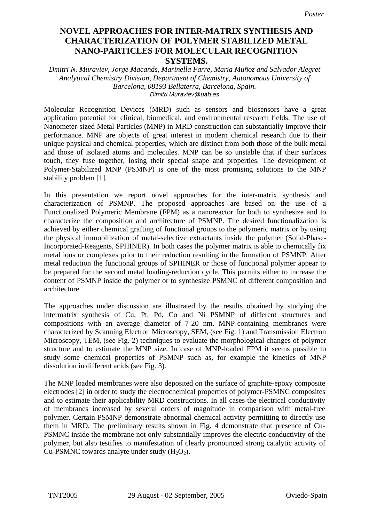## **Novel approaches for inter-matrix synthesis and characterization of polymer CHARACTERIZATION OF POLYMER STABILIZED METAL stabilized metal nano-particles for molecular recognition systems. NANO-PARTICLES FOR MOLECULAR RECOGNITION NOVEL APPROACHES FOR INTER-MATRIX SYNTHESIS AND SYSTEMS.**

*Dmitri N. Muraviev, Jorge Macanás, Marinella Farre, Maria Muñoz and Salvador Alegret Analytical Chemistry Division, Department of Chemistry, Autonomous University of Barcelona, 08193 Bellaterra, Barcelona, Spain. Dimitri.Muraviev@uab.es* 

Molecular Recognition Devices (MRD) such as sensors and biosensors have a great application potential for clinical, biomedical, and environmental research fields. The use of Nanometer-sized Metal Particles (MNP) in MRD construction can substantially improve their performance. MNP are objects of great interest in modern chemical research due to their unique physical and chemical properties, which are distinct from both those of the bulk metal and those of isolated atoms and molecules. MNP can be so unstable that if their surfaces touch, they fuse together, losing their special shape and properties. The development of Polymer-Stabilized MNP (PSMNP) is one of the most promising solutions to the MNP stability problem [1].

In this presentation we report novel approaches for the inter-matrix synthesis and characterization of PSMNP. The proposed approaches are based on the use of a Functionalized Polymeric Membrane (FPM) as a nanoreactor for both to synthesize and to characterize the composition and architecture of PSMNP. The desired functionalization is achieved by either chemical grafting of functional groups to the polymeric matrix or by using the physical immobilization of metal-selective extractants inside the polymer (Solid-Phase-Incorporated-Reagents, SPHINER). In both cases the polymer matrix is able to chemically fix metal ions or complexes prior to their reduction resulting in the formation of PSMNP. After metal reduction the functional groups of SPHINER or those of functional polymer appear to be prepared for the second metal loading-reduction cycle. This permits either to increase the content of PSMNP inside the polymer or to synthesize PSMNC of different composition and architecture.

The approaches under discussion are illustrated by the results obtained by studying the intermatrix synthesis of Cu, Pt, Pd, Co and Ni PSMNP of different structures and compositions with an average diameter of 7-20 nm. MNP-containing membranes were characterized by Scanning Electron Microscopy, SEM, (see Fig. 1) and Transmission Electron Microscopy, TEM, (see Fig. 2) techniques to evaluate the morphological changes of polymer structure and to estimate the MNP size. In case of MNP-loaded FPM it seems possible to study some chemical properties of PSMNP such as, for example the kinetics of MNP dissolution in different acids (see Fig. 3).

The MNP loaded membranes were also deposited on the surface of graphite-epoxy composite electrodes [2] in order to study the electrochemical properties of polymer-PSMNC composites and to estimate their applicability MRD constructions. In all cases the electrical conductivity of membranes increased by several orders of magnitude in comparison with metal-free polymer. Certain PSMNP demonstrate abnormal chemical activity permitting to directly use them in MRD. The preliminary results shown in Fig. 4 demonstrate that presence of Cu-PSMNC inside the membrane not only substantially improves the electric conductivity of the polymer, but also testifies to manifestation of clearly pronounced strong catalytic activity of Cu-PSMNC towards analyte under study  $(H_2O_2)$ .